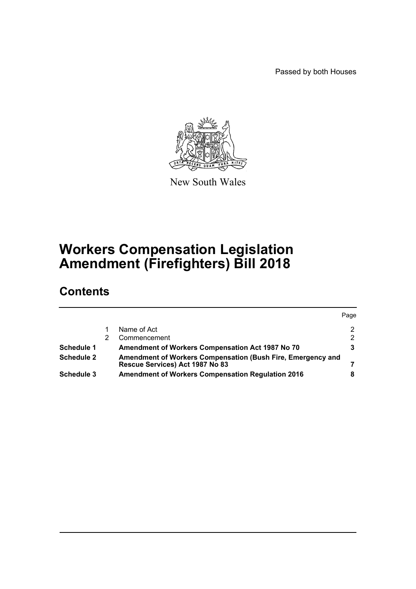Passed by both Houses



New South Wales

# **Workers Compensation Legislation Amendment (Firefighters) Bill 2018**

# **Contents**

|                   |                                                                                                | Page          |
|-------------------|------------------------------------------------------------------------------------------------|---------------|
|                   | Name of Act                                                                                    | $\mathcal{P}$ |
|                   | Commencement                                                                                   | $\mathcal{P}$ |
| <b>Schedule 1</b> | Amendment of Workers Compensation Act 1987 No 70                                               |               |
| <b>Schedule 2</b> | Amendment of Workers Compensation (Bush Fire, Emergency and<br>Rescue Services) Act 1987 No 83 |               |
| <b>Schedule 3</b> | <b>Amendment of Workers Compensation Regulation 2016</b>                                       |               |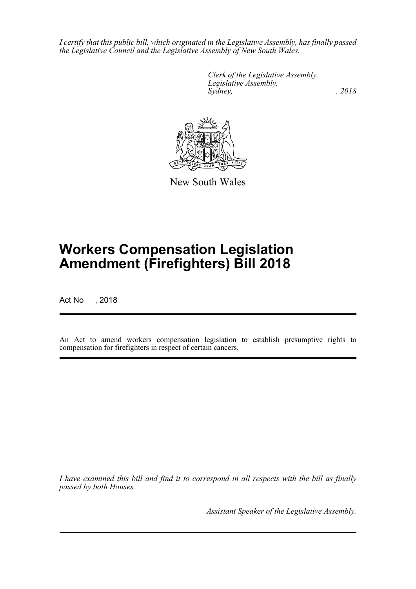*I certify that this public bill, which originated in the Legislative Assembly, has finally passed the Legislative Council and the Legislative Assembly of New South Wales.*

> *Clerk of the Legislative Assembly. Legislative Assembly, Sydney, , 2018*



New South Wales

# **Workers Compensation Legislation Amendment (Firefighters) Bill 2018**

Act No , 2018

An Act to amend workers compensation legislation to establish presumptive rights to compensation for firefighters in respect of certain cancers.

*I have examined this bill and find it to correspond in all respects with the bill as finally passed by both Houses.*

*Assistant Speaker of the Legislative Assembly.*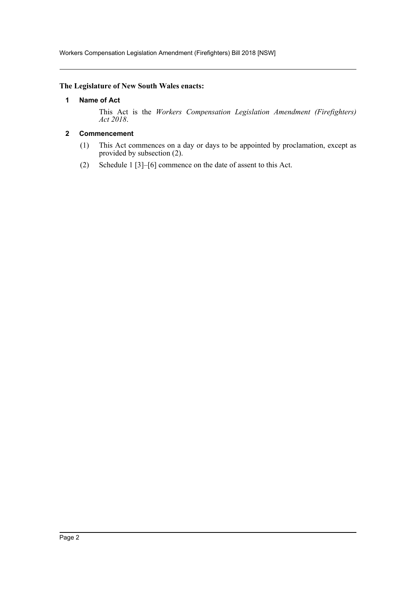Workers Compensation Legislation Amendment (Firefighters) Bill 2018 [NSW]

## <span id="page-2-0"></span>**The Legislature of New South Wales enacts:**

#### **1 Name of Act**

This Act is the *Workers Compensation Legislation Amendment (Firefighters) Act 2018*.

## <span id="page-2-1"></span>**2 Commencement**

- (1) This Act commences on a day or days to be appointed by proclamation, except as provided by subsection (2).
- (2) Schedule 1 [3]–[6] commence on the date of assent to this Act.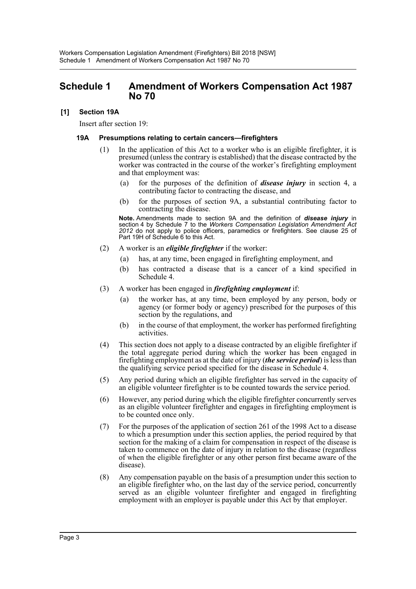## <span id="page-3-0"></span>**Schedule 1 Amendment of Workers Compensation Act 1987 No 70**

#### **[1] Section 19A**

Insert after section 19:

#### **19A Presumptions relating to certain cancers—firefighters**

- (1) In the application of this Act to a worker who is an eligible firefighter, it is presumed (unless the contrary is established) that the disease contracted by the worker was contracted in the course of the worker's firefighting employment and that employment was:
	- (a) for the purposes of the definition of *disease injury* in section 4, a contributing factor to contracting the disease, and
	- (b) for the purposes of section 9A, a substantial contributing factor to contracting the disease.

**Note.** Amendments made to section 9A and the definition of *disease injury* in section 4 by Schedule 7 to the *Workers Compensation Legislation Amendment Act 2012* do not apply to police officers, paramedics or firefighters. See clause 25 of Part 19H of Schedule 6 to this Act.

- (2) A worker is an *eligible firefighter* if the worker:
	- (a) has, at any time, been engaged in firefighting employment, and
	- (b) has contracted a disease that is a cancer of a kind specified in Schedule 4.
- (3) A worker has been engaged in *firefighting employment* if:
	- (a) the worker has, at any time, been employed by any person, body or agency (or former body or agency) prescribed for the purposes of this section by the regulations, and
	- (b) in the course of that employment, the worker has performed firefighting activities.
- (4) This section does not apply to a disease contracted by an eligible firefighter if the total aggregate period during which the worker has been engaged in firefighting employment as at the date of injury (*the service period*) is less than the qualifying service period specified for the disease in Schedule 4.
- (5) Any period during which an eligible firefighter has served in the capacity of an eligible volunteer firefighter is to be counted towards the service period.
- (6) However, any period during which the eligible firefighter concurrently serves as an eligible volunteer firefighter and engages in firefighting employment is to be counted once only.
- (7) For the purposes of the application of section 261 of the 1998 Act to a disease to which a presumption under this section applies, the period required by that section for the making of a claim for compensation in respect of the disease is taken to commence on the date of injury in relation to the disease (regardless of when the eligible firefighter or any other person first became aware of the disease).
- (8) Any compensation payable on the basis of a presumption under this section to an eligible firefighter who, on the last day of the service period, concurrently served as an eligible volunteer firefighter and engaged in firefighting employment with an employer is payable under this Act by that employer.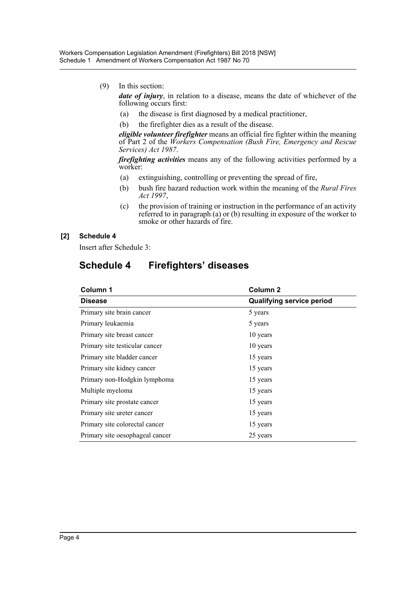(9) In this section:

*date of injury*, in relation to a disease, means the date of whichever of the following occurs first:

- (a) the disease is first diagnosed by a medical practitioner,
- (b) the firefighter dies as a result of the disease.

*eligible volunteer firefighter* means an official fire fighter within the meaning of Part 2 of the *Workers Compensation (Bush Fire, Emergency and Rescue Services) Act 1987*.

*firefighting activities* means any of the following activities performed by a worker:

- (a) extinguishing, controlling or preventing the spread of fire,
- (b) bush fire hazard reduction work within the meaning of the *Rural Fires Act 1997*,
- (c) the provision of training or instruction in the performance of an activity referred to in paragraph (a) or (b) resulting in exposure of the worker to smoke or other hazards of fire.

## **[2] Schedule 4**

Insert after Schedule 3:

# **Schedule 4 Firefighters' diseases**

| Column 1                        | Column <sub>2</sub>              |  |
|---------------------------------|----------------------------------|--|
| <b>Disease</b>                  | <b>Qualifying service period</b> |  |
| Primary site brain cancer       | 5 years                          |  |
| Primary leukaemia               | 5 years                          |  |
| Primary site breast cancer      | 10 years                         |  |
| Primary site testicular cancer  | 10 years                         |  |
| Primary site bladder cancer     | 15 years                         |  |
| Primary site kidney cancer      | 15 years                         |  |
| Primary non-Hodgkin lymphoma    | 15 years                         |  |
| Multiple myeloma                | 15 years                         |  |
| Primary site prostate cancer    | 15 years                         |  |
| Primary site ureter cancer      | 15 years                         |  |
| Primary site colorectal cancer  | 15 years                         |  |
| Primary site oesophageal cancer | 25 years                         |  |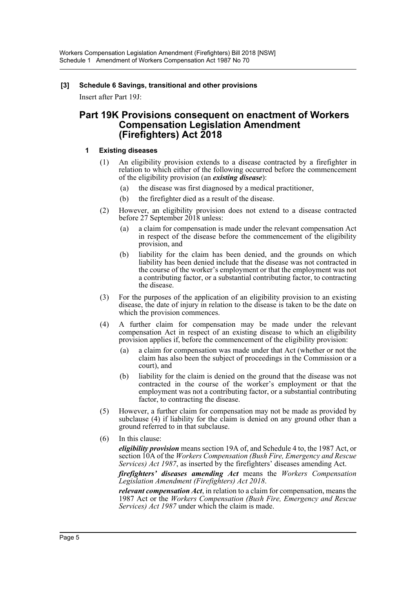## **[3] Schedule 6 Savings, transitional and other provisions**

Insert after Part 19J:

## **Part 19K Provisions consequent on enactment of Workers Compensation Legislation Amendment (Firefighters) Act 2018**

#### **1 Existing diseases**

- (1) An eligibility provision extends to a disease contracted by a firefighter in relation to which either of the following occurred before the commencement of the eligibility provision (an *existing disease*):
	- (a) the disease was first diagnosed by a medical practitioner,
	- (b) the firefighter died as a result of the disease.
- (2) However, an eligibility provision does not extend to a disease contracted before 27 September 2018 unless:
	- (a) a claim for compensation is made under the relevant compensation Act in respect of the disease before the commencement of the eligibility provision, and
	- (b) liability for the claim has been denied, and the grounds on which liability has been denied include that the disease was not contracted in the course of the worker's employment or that the employment was not a contributing factor, or a substantial contributing factor, to contracting the disease.
- (3) For the purposes of the application of an eligibility provision to an existing disease, the date of injury in relation to the disease is taken to be the date on which the provision commences.
- (4) A further claim for compensation may be made under the relevant compensation Act in respect of an existing disease to which an eligibility provision applies if, before the commencement of the eligibility provision:
	- (a) a claim for compensation was made under that Act (whether or not the claim has also been the subject of proceedings in the Commission or a court), and
	- (b) liability for the claim is denied on the ground that the disease was not contracted in the course of the worker's employment or that the employment was not a contributing factor, or a substantial contributing factor, to contracting the disease.
- (5) However, a further claim for compensation may not be made as provided by subclause (4) if liability for the claim is denied on any ground other than a ground referred to in that subclause.
- (6) In this clause:

*eligibility provision* means section 19A of, and Schedule 4 to, the 1987 Act, or section 10A of the *Workers Compensation (Bush Fire, Emergency and Rescue Services) Act 1987*, as inserted by the firefighters' diseases amending Act.

*firefighters' diseases amending Act* means the *Workers Compensation Legislation Amendment (Firefighters) Act 2018*.

*relevant compensation Act*, in relation to a claim for compensation, means the 1987 Act or the *Workers Compensation (Bush Fire, Emergency and Rescue Services) Act 1987* under which the claim is made.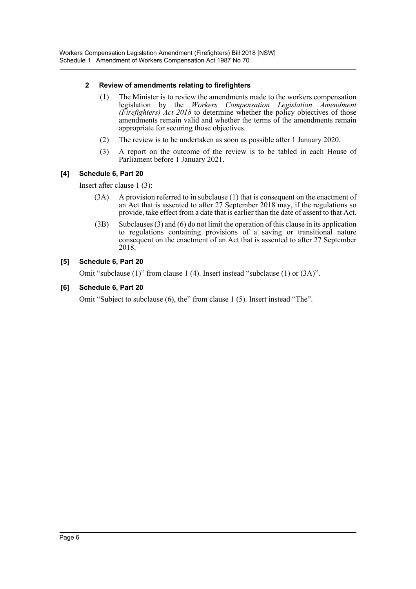## **2 Review of amendments relating to firefighters**

- (1) The Minister is to review the amendments made to the workers compensation legislation by the *Workers Compensation Legislation Amendment (Firefighters) Act 2018* to determine whether the policy objectives of those amendments remain valid and whether the terms of the amendments remain appropriate for securing those objectives.
- (2) The review is to be undertaken as soon as possible after 1 January 2020.
- (3) A report on the outcome of the review is to be tabled in each House of Parliament before 1 January 2021.

## **[4] Schedule 6, Part 20**

Insert after clause 1 (3):

- (3A) A provision referred to in subclause (1) that is consequent on the enactment of an Act that is assented to after 27 September 2018 may, if the regulations so provide, take effect from a date that is earlier than the date of assent to that Act.
- (3B) Subclauses (3) and (6) do not limit the operation of this clause in its application to regulations containing provisions of a saving or transitional nature consequent on the enactment of an Act that is assented to after 27 September 2018.

## **[5] Schedule 6, Part 20**

Omit "subclause (1)" from clause 1 (4). Insert instead "subclause (1) or (3A)".

#### **[6] Schedule 6, Part 20**

Omit "Subject to subclause (6), the" from clause 1 (5). Insert instead "The".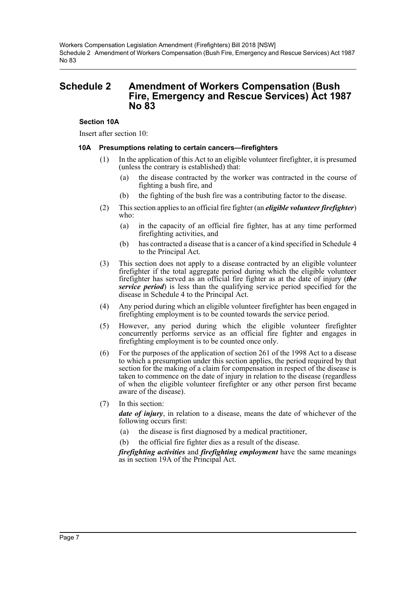## <span id="page-7-0"></span>**Schedule 2 Amendment of Workers Compensation (Bush Fire, Emergency and Rescue Services) Act 1987 No 83**

#### **Section 10A**

Insert after section 10:

#### **10A Presumptions relating to certain cancers—firefighters**

- (1) In the application of this Act to an eligible volunteer firefighter, it is presumed (unless the contrary is established) that:
	- (a) the disease contracted by the worker was contracted in the course of fighting a bush fire, and
	- (b) the fighting of the bush fire was a contributing factor to the disease.
- (2) This section applies to an official fire fighter (an *eligible volunteer firefighter*) who:
	- (a) in the capacity of an official fire fighter, has at any time performed firefighting activities, and
	- (b) has contracted a disease that is a cancer of a kind specified in Schedule 4 to the Principal Act.
- (3) This section does not apply to a disease contracted by an eligible volunteer firefighter if the total aggregate period during which the eligible volunteer firefighter has served as an official fire fighter as at the date of injury (*the service period*) is less than the qualifying service period specified for the disease in Schedule 4 to the Principal Act.
- (4) Any period during which an eligible volunteer firefighter has been engaged in firefighting employment is to be counted towards the service period.
- (5) However, any period during which the eligible volunteer firefighter concurrently performs service as an official fire fighter and engages in firefighting employment is to be counted once only.
- (6) For the purposes of the application of section 261 of the 1998 Act to a disease to which a presumption under this section applies, the period required by that section for the making of a claim for compensation in respect of the disease is taken to commence on the date of injury in relation to the disease (regardless of when the eligible volunteer firefighter or any other person first became aware of the disease).
- (7) In this section:

*date of injury*, in relation to a disease, means the date of whichever of the following occurs first:

- (a) the disease is first diagnosed by a medical practitioner,
- (b) the official fire fighter dies as a result of the disease.

*firefighting activities* and *firefighting employment* have the same meanings as in section 19A of the Principal Act.